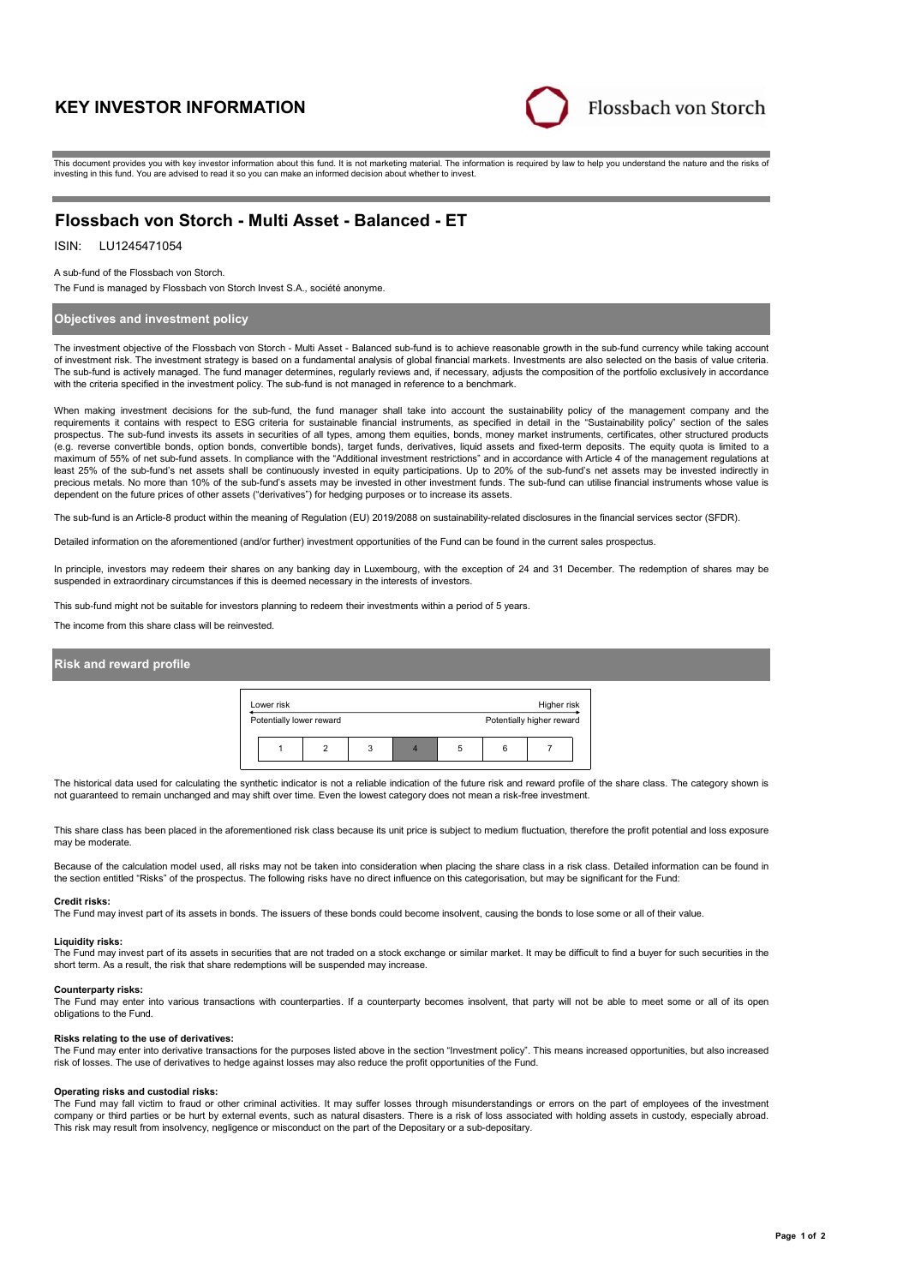# **KEY INVESTOR INFORMATION**



This document provides you with key investor information about this fund. It is not marketing material. The information is required by law to help you understand the nature and the risks of investing in this fund. You are advised to read it so you can make an informed decision about whether to invest.

# **Flossbach von Storch - Multi Asset - Balanced - ET**

# ISIN: LU1245471054

### A sub-fund of the Flossbach von Storch.

The Fund is managed by Flossbach von Storch Invest S.A., société anonyme.

# **Objectives and investment policy**

The investment objective of the Flossbach von Storch - Multi Asset - Balanced sub-fund is to achieve reasonable growth in the sub-fund currency while taking account of investment risk. The investment strategy is based on a fundamental analysis of global financial markets. Investments are also selected on the basis of value criteria. The sub-fund is actively managed. The fund manager determines, regularly reviews and, if necessary, adjusts the composition of the portfolio exclusively in accordance with the criteria specified in the investment policy. The sub-fund is not managed in reference to a benchmark.

When making investment decisions for the sub-fund, the fund manager shall take into account the sustainability policy of the management company and the requirements it contains with respect to ESG criteria for sustainable financial instruments, as specified in detail in the "Sustainability policy" section of the sales prospectus. The sub-fund invests its assets in securities of all types, among them equities, bonds, money market instruments, certificates, other structured products<br>(e.g. reverse convertible bonds, option bonds, convertib maximum of 55% of net sub-fund assets. In compliance with the "Additional investment restrictions" and in accordance with Article 4 of the management regulations at least 25% of the sub-fund's net assets shall be continuously invested in equity participations. Up to 20% of the sub-fund's net assets may be invested indirectly in precious metals. No more than 10% of the sub-fund's assets may be invested in other investment funds. The sub-fund can utilise financial instruments whose value is dependent on the future prices of other assets ("derivatives") for hedging purposes or to increase its assets.

The sub-fund is an Article-8 product within the meaning of Regulation (EU) 2019/2088 on sustainability-related disclosures in the financial services sector (SFDR).

Detailed information on the aforementioned (and/or further) investment opportunities of the Fund can be found in the current sales prospectus.

In principle, investors may redeem their shares on any banking day in Luxembourg, with the exception of 24 and 31 December. The redemption of shares may be suspended in extraordinary circumstances if this is deemed necessary in the interests of investors.

This sub-fund might not be suitable for investors planning to redeem their investments within a period of 5 years.

The income from this share class will be reinvested.

### **Risk and reward profile**

| Lower risk |                          |   |   | Higher risk               |  |
|------------|--------------------------|---|---|---------------------------|--|
|            | Potentially lower reward |   |   | Potentially higher reward |  |
|            |                          | 3 | 5 |                           |  |

The historical data used for calculating the synthetic indicator is not a reliable indication of the future risk and reward profile of the share class. The category shown is not guaranteed to remain unchanged and may shift over time. Even the lowest category does not mean a risk-free investment.

This share class has been placed in the aforementioned risk class because its unit price is subject to medium fluctuation, therefore the profit potential and loss exposure may be moderate.

Because of the calculation model used, all risks may not be taken into consideration when placing the share class in a risk class. Detailed information can be found in the section entitled "Risks" of the prospectus. The following risks have no direct influence on this categorisation, but may be significant for the Fund:

#### **Credit risks:**

The Fund may invest part of its assets in bonds. The issuers of these bonds could become insolvent, causing the bonds to lose some or all of their value.

#### **Liquidity risks:**

The Fund may invest part of its assets in securities that are not traded on a stock exchange or similar market. It may be difficult to find a buyer for such securities in the short term. As a result, the risk that share redemptions will be suspended may increase.

#### **Counterparty risks:**

The Fund may enter into various transactions with counterparties. If a counterparty becomes insolvent, that party will not be able to meet some or all of its open obligations to the Fund.

#### **Risks relating to the use of derivatives:**

The Fund may enter into derivative transactions for the purposes listed above in the section "Investment policy". This means increased opportunities, but also increased risk of losses. The use of derivatives to hedge against losses may also reduce the profit opportunities of the Fund.

#### **Operating risks and custodial risks:**

The Fund may fall victim to fraud or other criminal activities. It may suffer losses through misunderstandings or errors on the part of employees of the investment company or third parties or be hurt by external events, such as natural disasters. There is a risk of loss associated with holding assets in custody, especially abroad. This risk may result from insolvency, negligence or misconduct on the part of the Depositary or a sub-depositary.